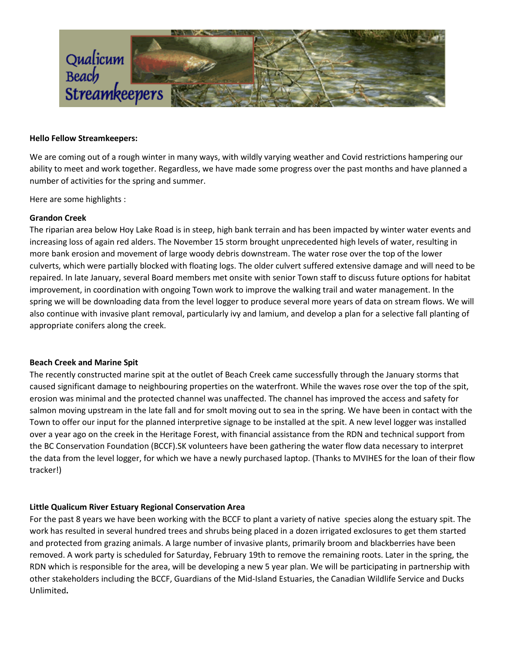

#### **Hello Fellow Streamkeepers:**

We are coming out of a rough winter in many ways, with wildly varying weather and Covid restrictions hampering our ability to meet and work together. Regardless, we have made some progress over the past months and have planned a number of activities for the spring and summer.

Here are some highlights :

# **Grandon Creek**

The riparian area below Hoy Lake Road is in steep, high bank terrain and has been impacted by winter water events and increasing loss of again red alders. The November 15 storm brought unprecedented high levels of water, resulting in more bank erosion and movement of large woody debris downstream. The water rose over the top of the lower culverts, which were partially blocked with floating logs. The older culvert suffered extensive damage and will need to be repaired. In late January, several Board members met onsite with senior Town staff to discuss future options for habitat improvement, in coordination with ongoing Town work to improve the walking trail and water management. In the spring we will be downloading data from the level logger to produce several more years of data on stream flows. We will also continue with invasive plant removal, particularly ivy and lamium, and develop a plan for a selective fall planting of appropriate conifers along the creek.

# **Beach Creek and Marine Spit**

The recently constructed marine spit at the outlet of Beach Creek came successfully through the January storms that caused significant damage to neighbouring properties on the waterfront. While the waves rose over the top of the spit, erosion was minimal and the protected channel was unaffected. The channel has improved the access and safety for salmon moving upstream in the late fall and for smolt moving out to sea in the spring. We have been in contact with the Town to offer our input for the planned interpretive signage to be installed at the spit. A new level logger was installed over a year ago on the creek in the Heritage Forest, with financial assistance from the RDN and technical support from the BC Conservation Foundation (BCCF).SK volunteers have been gathering the water flow data necessary to interpret the data from the level logger, for which we have a newly purchased laptop. (Thanks to MVIHES for the loan of their flow tracker!)

# **Little Qualicum River Estuary Regional Conservation Area**

For the past 8 years we have been working with the BCCF to plant a variety of native species along the estuary spit. The work has resulted in several hundred trees and shrubs being placed in a dozen irrigated exclosures to get them started and protected from grazing animals. A large number of invasive plants, primarily broom and blackberries have been removed. A work party is scheduled for Saturday, February 19th to remove the remaining roots. Later in the spring, the RDN which is responsible for the area, will be developing a new 5 year plan. We will be participating in partnership with other stakeholders including the BCCF, Guardians of the Mid-Island Estuaries, the Canadian Wildlife Service and Ducks Unlimited**.**